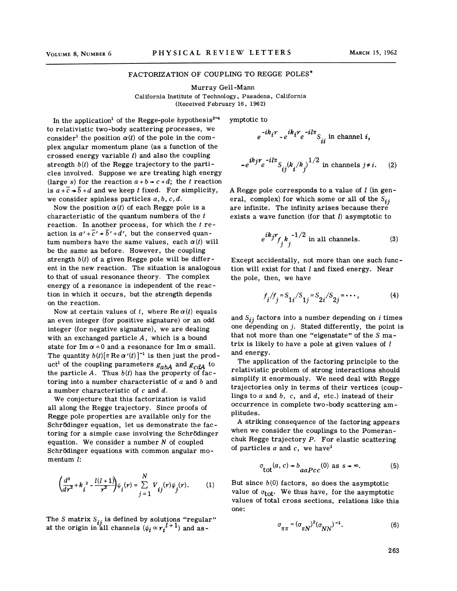## FACTORIZATION OF COUPLING TO REGGE POLES\*

Murray Gell-Mann California Institute of Technology, Pasadena, California (Received February 16, 1962)

In the application<sup>1</sup> of the Regge-pole hypothesis<sup>2-4</sup> to relativistic two-body scattering processes, we consider<sup>1</sup> the position  $\alpha(t)$  of the pole in the complex angular momentum plane (as a function of the crossed energy variable  $t$ ) and also the coupling strength  $b(t)$  of the Regge trajectory to the particles involved. Suppose we are treating high energy (large s) for the reaction  $a + b \rightarrow c + d$ ; the *t* reaction is  $a+\overline{c}+\overline{b}+d$  and we keep *t* fixed. For simplicity, we consider spinless particles *a,b, c,d.* 

Now the position  $\alpha(t)$  of each Regge pole is a characteristic of the quantum numbers of the *t*  reaction. In another process, for which the *t* reaction is  $a' + \overline{c}' \rightarrow \overline{b}' + d'$ , but the conserved quantum numbers have the same values, each  $\alpha(t)$  will be the same as before. However, the coupling strength  $b(t)$  of a given Regge pole will be different in the new reaction. The situation is analogous to that of usual resonance theory. The complex energy of a resonance is independent of the reaction in which it occurs, but the strength depends on the reaction.

Now at certain values of  $t$ , where  $\text{Re }\alpha(t)$  equals an even integer (for positive signature) or an odd integer (for negative signature), we are dealing with an exchanged particle  $A$ , which is a bound state for Im  $\alpha$  = 0 and a resonance for Im  $\alpha$  small. The quantity  $b(t)[\pi \text{ Re }\alpha'(t)]^{-1}$  is then just the product<sup>1</sup> of the coupling parameters  $g_{abA}$  and  $g_{cdA}$  to the particle  $A$ . Thus  $b(t)$  has the property of factoring into a number characteristic of a and *b* and a number characteristic of *c* and d.

We conjecture that this factorization is valid all along the Regge trajectory. Since proofs of Regge pole properties are available only for the Schrödinger equation, let us demonstrate the factoring for a simple case involving the Schrödinger equation. We consider a number  $N$  of coupled Schrödinger equations with common angular momentum l:

$$
\left(\frac{d^2}{dr^2} + k_i^2 - \frac{l(l+1)}{r^2}\right)\psi_i(r) = \sum_{j=1}^N V_{ij}(r)\psi_j(r).
$$
 (1)

The *S* matrix  $S_{ij}$  is defined by solutions "regular" at the origin in all channels  $(\psi_i\propto r_i^{l+1})$  and asymptotic to

$$
e^{-ik_i r} - e^{ik_i r} e^{-il\pi} S_{ii}
$$
 in channel *i*,

$$
-e^{ikj\tau}e^{-il\pi}S_{ij}(k_i/k_j)^{1/2}
$$
in channels  $j \neq i$ . (2)

A Regge pole corresponds to a value of  $l$  (in general, complex) for which some or all of the  $S_{ij}$ are infinite. The infinity arises because there exists a wave function (for that  $l$ ) asymptotic to

$$
e^{ik_jr} f_j k_j^{-1/2}
$$
 in all channels. (3)

Except accidentally, not more than one such function will exist for that  $l$  and fixed energy. Near the pole, then, we have

$$
f_i/f_j = S_{1i}/S_{1j} = S_{2i}/S_{2j} = \cdots,
$$
 (4)

and  $S_{ij}$  factors into a number depending on i times one depending on  $j$ . Stated differently, the point is that not more than one "eigenstate" of the *S* matrix is likely to have a pole at given values of  $l$ and energy.

The application of the factoring principle to the relativistic problem of strong interactions should simplify it enormously. We need deal with Regge trajectories only in terms of their vertices (couplings to *a* and b, *c,* and d, etc.) instead of their occurrence in complete two-body scattering amplitudes.

A striking consequence of the factoring appears when we consider the couplings to the Pomeranchuk Regge trajectory  $P$ . For elastic scattering of particles  $a$  and  $c$ , we have<sup>1</sup>

$$
\sigma_{\text{tot}}(a, c) \star b_{a a P c c}(0) \text{ as } s \star \infty. \tag{5}
$$

But since  $b(0)$  factors, so does the asymptotic value of  $\sigma_{\text{tot}}$ . We thus have, for the asymptotic values of total cross sections, relations like this one:

$$
\sigma_{\pi\pi} = (\sigma_{\pi N})^2 (\sigma_{NN})^{-1}.
$$
 (6)